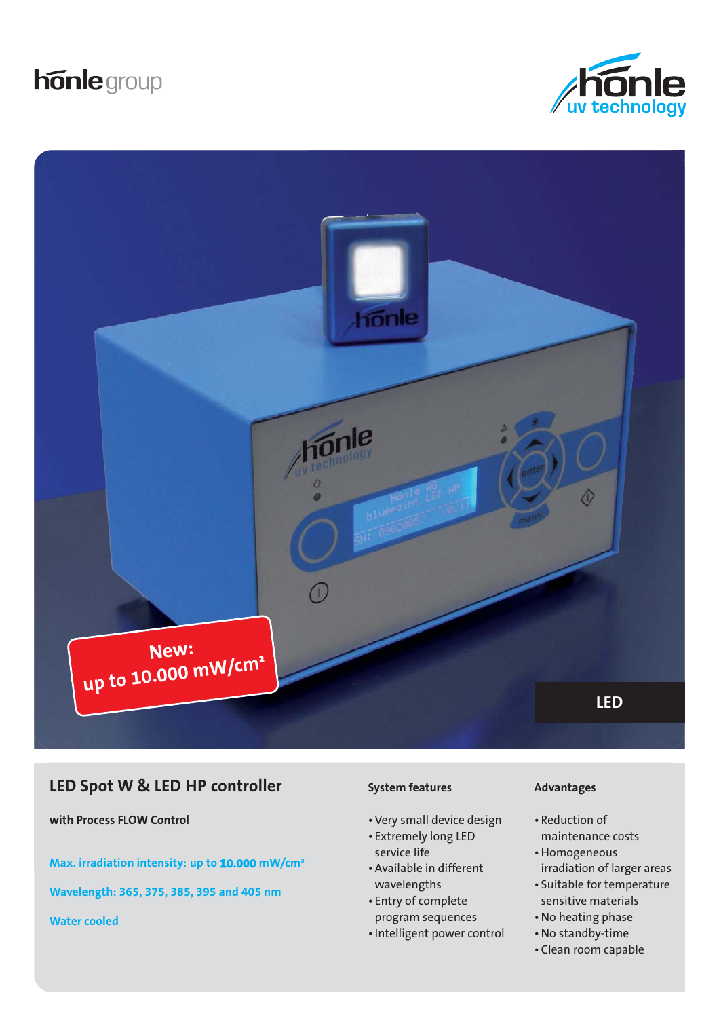# **honle** group





# **LED Spot W & LED HP controller**

**with Process FLOW Control**

**Max. irradiation intensity: up to 10.000 mW/cm²**

**Wavelength: 365, 375, 385, 395 and 405 nm**

**Water cooled**

#### **System features**

- Very small device design
- Extremely long LED service life
- Available in different wavelengths
- Entry of complete program sequences
- Intelligent power control

#### **Advantages**

- Reduction of maintenance costs
- Homogeneous irradiation of larger areas
- Suitable for temperature sensitive materials
- No heating phase
- No standby-time
- Clean room capable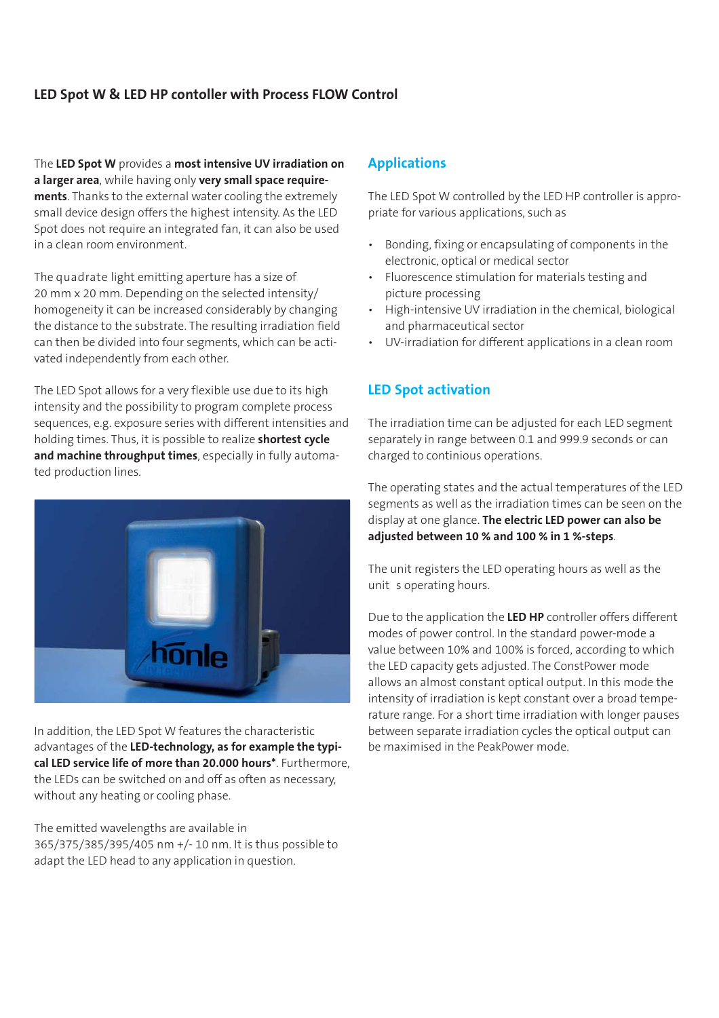### **LED Spot W & LED HP contoller with Process FLOW Control**

The **LED Spot W** provides a **most intensive UV irradiation on a larger area**, while having only **very small space requirements**. Thanks to the external water cooling the extremely small device design offers the highest intensity. As the LED Spot does not require an integrated fan, it can also be used in a clean room environment.

The quadrate light emitting aperture has a size of 20 mm x 20 mm. Depending on the selected intensity/ homogeneity it can be increased considerably by changing the distance to the substrate. The resulting irradiation field can then be divided into four segments, which can be activated independently from each other.

The LED Spot allows for a very flexible use due to its high intensity and the possibility to program complete process sequences, e.g. exposure series with different intensities and holding times. Thus, it is possible to realize **shortest cycle and machine throughput times**, especially in fully automated production lines.



In addition, the LED Spot W features the characteristic advantages of the **LED-technology, as for example the typical LED service life of more than 20.000 hours\***. Furthermore, the LEDs can be switched on and off as often as necessary, without any heating or cooling phase.

The emitted wavelengths are available in 365/375/385/395/405 nm +/- 10 nm. It is thus possible to adapt the LED head to any application in question.

#### **Applications**

The LED Spot W controlled by the LED HP controller is appropriate for various applications, such as

- Bonding, fixing or encapsulating of components in the electronic, optical or medical sector
- Fluorescence stimulation for materials testing and picture processing
- High-intensive UV irradiation in the chemical, biological and pharmaceutical sector
- UV-irradiation for different applications in a clean room

#### **LED Spot activation**

The irradiation time can be adjusted for each LED segment separately in range between 0.1 and 999.9 seconds or can charged to continious operations.

The operating states and the actual temperatures of the LED segments as well as the irradiation times can be seen on the display at one glance. **The electric LED power can also be adjusted between 10 % and 100 % in 1 %-steps**.

The unit registers the LED operating hours as well as the unit s operating hours.

Due to the application the **LED HP** controller offers different modes of power control. In the standard power-mode a value between 10% and 100% is forced, according to which the LED capacity gets adjusted. The ConstPower mode allows an almost constant optical output. In this mode the intensity of irradiation is kept constant over a broad temperature range. For a short time irradiation with longer pauses between separate irradiation cycles the optical output can be maximised in the PeakPower mode.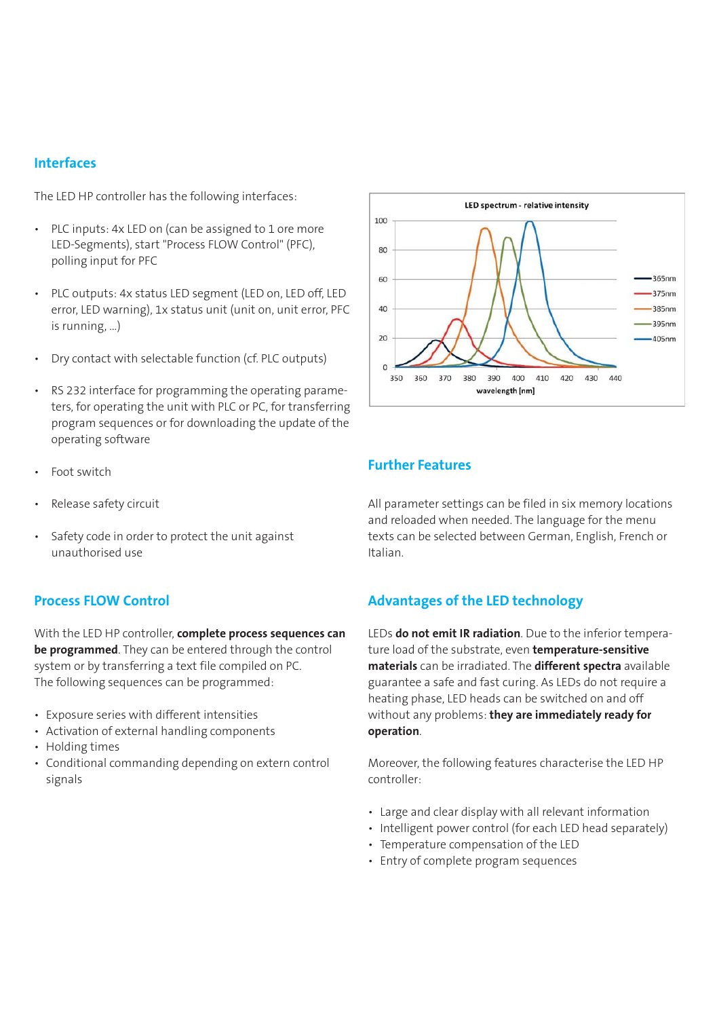#### **Interfaces**

The LED HP controller has the following interfaces:

- PLC inputs: 4x LED on (can be assigned to 1 ore more LED-Segments), start "Process FLOW Control" (PFC), polling input for PFC
- PLC outputs: 4x status LED segment (LED on, LED off, LED error, LED warning), 1x status unit (unit on, unit error, PFC is running, …)
- Dry contact with selectable function (cf. PLC outputs)
- RS 232 interface for programming the operating parameters, for operating the unit with PLC or PC, for transferring program sequences or for downloading the update of the operating software
- Foot switch
- Release safety circuit
- Safety code in order to protect the unit against unauthorised use

#### **Process FLOW Control**

With the LED HP controller, **complete process sequences can be programmed**. They can be entered through the control system or by transferring a text file compiled on PC. The following sequences can be programmed:

- Exposure series with different intensities
- Activation of external handling components
- Holding times
- Conditional commanding depending on extern control signals



#### **Further Features**

All parameter settings can be filed in six memory locations and reloaded when needed. The language for the menu texts can be selected between German, English, French or Italian.

#### **Advantages of the LED technology**

LEDs **do not emit IR radiation**. Due to the inferior temperature load of the substrate, even **temperature-sensitive materials** can be irradiated. The **different spectra** available guarantee a safe and fast curing. As LEDs do not require a heating phase, LED heads can be switched on and off without any problems: **they are immediately ready for operation**.

Moreover, the following features characterise the LED HP controller:

- Large and clear display with all relevant information
- Intelligent power control (for each LED head separately)
- Temperature compensation of the LED
- Entry of complete program sequences